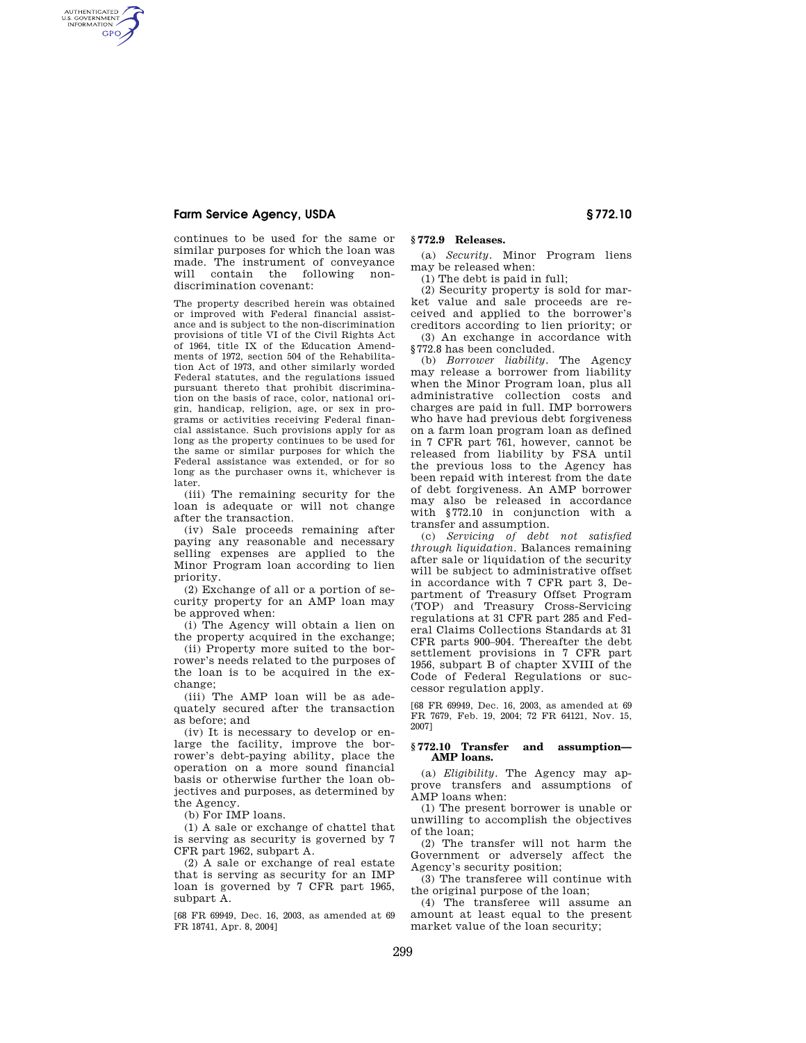# **Farm Service Agency, USDA § 772.10**

AUTHENTICATED<br>U.S. GOVERNMENT<br>INFORMATION **GPO** 

> continues to be used for the same or similar purposes for which the loan was made. The instrument of conveyance will contain the following nondiscrimination covenant:

The property described herein was obtained or improved with Federal financial assistance and is subject to the non-discrimination provisions of title VI of the Civil Rights Act of 1964, title IX of the Education Amendments of 1972, section 504 of the Rehabilitation Act of 1973, and other similarly worded Federal statutes, and the regulations issued pursuant thereto that prohibit discrimination on the basis of race, color, national origin, handicap, religion, age, or sex in programs or activities receiving Federal financial assistance. Such provisions apply for as long as the property continues to be used for the same or similar purposes for which the Federal assistance was extended, or for so long as the purchaser owns it, whichever is later.

(iii) The remaining security for the loan is adequate or will not change after the transaction.

(iv) Sale proceeds remaining after paying any reasonable and necessary selling expenses are applied to the Minor Program loan according to lien priority.

(2) Exchange of all or a portion of security property for an AMP loan may be approved when:

(i) The Agency will obtain a lien on the property acquired in the exchange;

(ii) Property more suited to the borrower's needs related to the purposes of the loan is to be acquired in the exchange;

(iii) The AMP loan will be as adequately secured after the transaction as before; and

(iv) It is necessary to develop or enlarge the facility, improve the borrower's debt-paying ability, place the operation on a more sound financial basis or otherwise further the loan objectives and purposes, as determined by the Agency.

(b) For IMP loans.

(1) A sale or exchange of chattel that is serving as security is governed by 7 CFR part 1962, subpart A.

(2) A sale or exchange of real estate that is serving as security for an IMP loan is governed by 7 CFR part 1965, subpart A.

[68 FR 69949, Dec. 16, 2003, as amended at 69 FR 18741, Apr. 8, 2004]

### **§ 772.9 Releases.**

(a) *Security.* Minor Program liens may be released when:

(1) The debt is paid in full;

(2) Security property is sold for market value and sale proceeds are received and applied to the borrower's creditors according to lien priority; or

(3) An exchange in accordance with §772.8 has been concluded.

(b) *Borrower liability.* The Agency may release a borrower from liability when the Minor Program loan, plus all administrative collection costs and charges are paid in full. IMP borrowers who have had previous debt forgiveness on a farm loan program loan as defined in 7 CFR part 761, however, cannot be released from liability by FSA until the previous loss to the Agency has been repaid with interest from the date of debt forgiveness. An AMP borrower may also be released in accordance with §772.10 in conjunction with a transfer and assumption.

(c) *Servicing of debt not satisfied through liquidation.* Balances remaining after sale or liquidation of the security will be subject to administrative offset in accordance with 7 CFR part 3, Department of Treasury Offset Program (TOP) and Treasury Cross-Servicing regulations at 31 CFR part 285 and Federal Claims Collections Standards at 31 CFR parts 900–904. Thereafter the debt settlement provisions in 7 CFR part 1956, subpart B of chapter XVIII of the Code of Federal Regulations or successor regulation apply.

[68 FR 69949, Dec. 16, 2003, as amended at 69 FR 7679, Feb. 19, 2004; 72 FR 64121, Nov. 15, 2007]

## **§ 772.10 Transfer and assumption— AMP loans.**

(a) *Eligibility.* The Agency may approve transfers and assumptions of AMP loans when:

(1) The present borrower is unable or unwilling to accomplish the objectives of the loan;

(2) The transfer will not harm the Government or adversely affect the Agency's security position;

(3) The transferee will continue with the original purpose of the loan;

(4) The transferee will assume an amount at least equal to the present market value of the loan security;